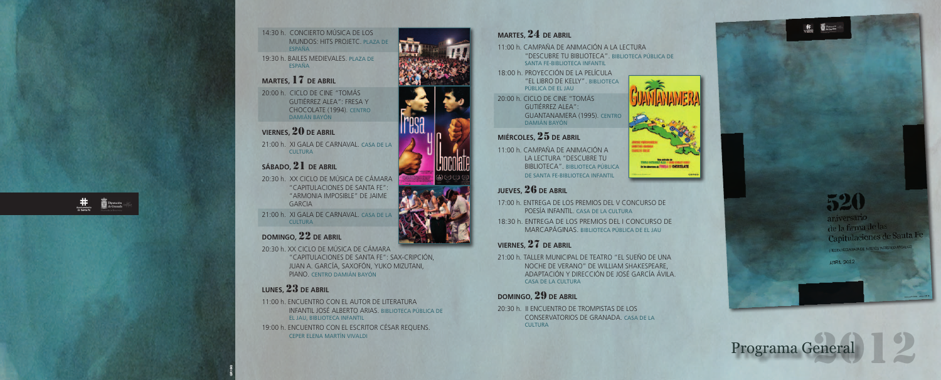# **MARTES,** 24 **DE ABRIL**

11:00 h. CAMPAÑA DE ANIMACIÓN A LA LECTURA "DESCUBRE TU BIBLIOTECA". BIBLIOTECA PÚBLICA DE SANTA FE-BIBLIOTECA INFANTIL

18:00 h. PROYECCIÓN DE LA PELÍCULA "EL LIBRO DE KELLY". BIBLIOTECA PÚBLICA DE EL JAU

20:00 h. CICLO DE CINE "TOMÁS GUTIÉRREZ ALEA": GUANTANAMERA (1995). CENTRO DAMIÁN BAYÓN

# **MIÉRCOLES,** 25 **DE ABRIL**

11:00 h. CAMPAÑA DE ANIMACIÓN A LA LECTURA "DESCUBRE TU BIBLIOTECA". BIBLIOTECA PÚBLICA DE SANTA FE-BIBLIOTECA INFANTIL

20:30 h. II ENCUENTRO DE TROMPISTAS DE LOS CONSERVATORIOS DE GRANADA. CASA DE LA **CULTURA** 

aniversario de la firma de las Capitulaciones de Santa Fe

FIESTA DECLARADA DE INTERÊS TURÍSTICO AN

**ABRIL 2012** 

Programa General

# **JUEVES,** 26 **DE ABRIL**

17:00 h. ENTREGA DE LOS PREMIOS DEL V CONCURSO DE POESÍA INFANTIL. CASA DE LA CULTURA 18:30 h. ENTREGA DE LOS PREMIOS DEL I CONCURSO DE MARCAPÁGINAS. BIBLIOTECA PÚBLICA DE EL JAU

21:00 h. XI GALA DE CARNAVAL. CASA DE LA **CULTURA** 

# **VIERNES,** 27 **DE ABRIL**

21:00 h. XI GALA DE CARNAVAL. CASA DE LA **CULTURA** 

> 21:00 h. TALLER MUNICIPAL DE TEATRO "EL SUEÑO DE UNA NOCHE DE VERANO" DE WILLIAM SHAKESPEARE, ADAPTACIÓN Y DIRECCIÓN DE JOSÉ GARCÍA ÁVILA. CASA DE LA CULTURA

# **DOMINGO,** 29 **DE ABRIL**

Diputación<br>de Granada

#### 14:30 h. CONCIERTO MÚSICA DE LOS MUNDOS: HITS PROJETC. PLAZA DE ESPAÑA

19:30 h. BAILES MEDIEVALES. PLAZA DE ESPAÑA

## **MARTES,** 17 **DE ABRIL**

20:00 h. CICLO DE CINE "TOMÁS GUTIÉRREZ ALEA": FRESA Y CHOCOLATE (1994). CENTRO DAMIÁN BAYÓN

## **VIERNES,** 20 **DE ABRIL**

# **SÁBADO,** 21 **DE ABRIL**

20:30 h. XX CICLO DE MÚSICA DE CÁMARA "CAPITULACIONES DE SANTA FE": "ARMONIA IMPOSIBLE" DE JAIME GARCIA

#### **DOMINGO,** 22 **DE ABRIL**

20:30 h. XX CICLO DE MÚSICA DE CÁMARA "CAPITULACIONES DE SANTA FE": SAX-CRIPCIÓN, JUAN A. GARCÍA, SAXOFÓN, YUKO MIZUTANI, PIANO. CENTRO DAMIÁN BAYÓN

# **LUNES,** 23 **DE ABRIL**

11:00 h. ENCUENTRO CON EL AUTOR DE LITERATURA INFANTIL JOSÉ ALBERTO ARIAS. BIBLIOTECA PÚBLICA DE EL JAU, BIBLIOTECA INFANTIL 19:00 h. ENCUENTRO CON EL ESCRITOR CÉSAR REQUENS. CEPER ELENA MARTÍN VIVALDI